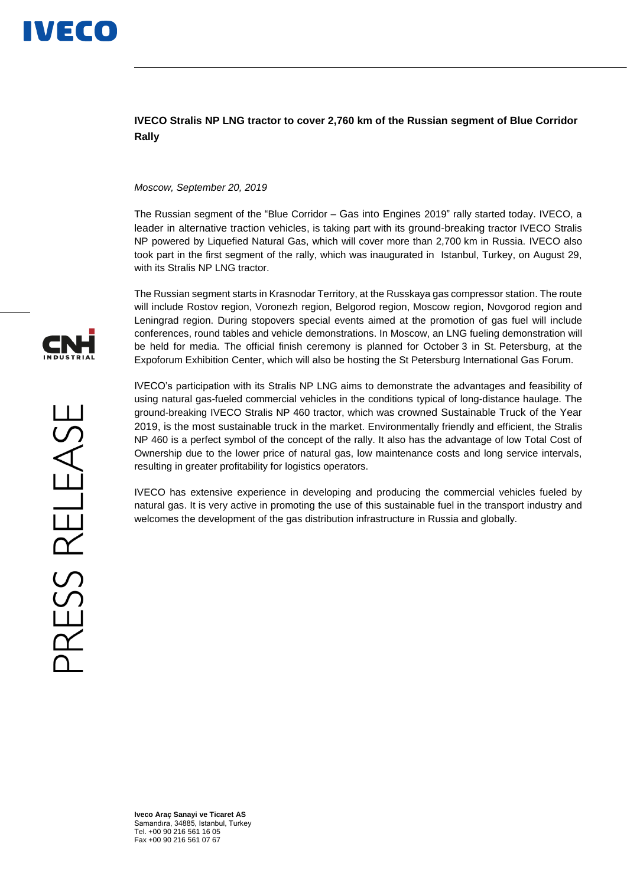

## **IVECO Stralis NP LNG tractor to cover 2,760 km of the Russian segment of Blue Corridor Rally**

## *Moscow, September 20, 2019*

The Russian segment of the "Blue Corridor – Gas into Engines 2019" rally started today. IVECO, a leader in alternative traction vehicles, is taking part with its ground-breaking tractor IVECO Stralis NP powered by Liquefied Natural Gas, which will cover more than 2,700 km in Russia. IVECO also took part in the first segment of the rally, which was inaugurated in Istanbul, Turkey, on August 29, with its Stralis NP LNG tractor.

The Russian segment starts in Krasnodar Territory, at the Russkaya gas compressor station. The route will include Rostov region, Voronezh region, Belgorod region, Moscow region, Novgorod region and Leningrad region. During stopovers special events aimed at the promotion of gas fuel will include conferences, round tables and vehicle demonstrations. In Moscow, an LNG fueling demonstration will be held for media. The official finish ceremony is planned for October 3 in St. Petersburg, at the Expoforum Exhibition Center, which will also be hosting the St Petersburg International Gas Forum.

IVECO's participation with its Stralis NP LNG aims to demonstrate the advantages and feasibility of using natural gas-fueled commercial vehicles in the conditions typical of long-distance haulage. The ground-breaking IVECO Stralis NP 460 tractor, which was crowned Sustainable Truck of the Year 2019, is the most sustainable truck in the market. Environmentally friendly and efficient, the Stralis NP 460 is a perfect symbol of the concept of the rally. It also has the advantage of low Total Cost of Ownership due to the lower price of natural gas, low maintenance costs and long service intervals, resulting in greater profitability for logistics operators.

IVECO has extensive experience in developing and producing the commercial vehicles fueled by natural gas. It is very active in promoting the use of this sustainable fuel in the transport industry and welcomes the development of the gas distribution infrastructure in Russia and globally.



**Iveco Araç Sanayi ve Ticaret AS** Samandıra, 34885, Istanbul, Turkey Tel. +00 90 216 561 16 05 Fax +00 90 216 561 07 67